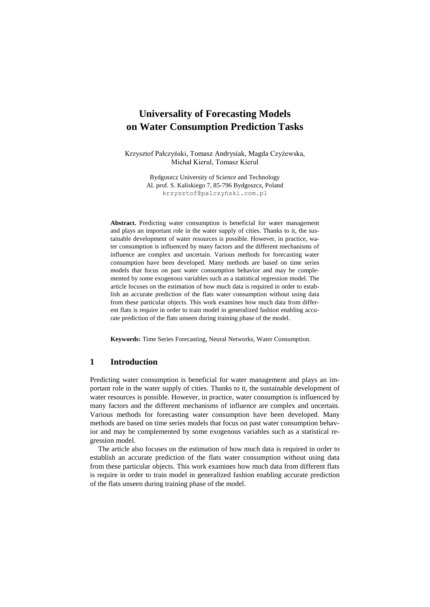# **Universality of Forecasting Models on Water Consumption Prediction Tasks**

Krzysztof Pałczyński, Tomasz Andrysiak, Magda Czyżewska, Michał Kierul, Tomasz Kierul

> Bydgoszcz University of Science and Technology Al. prof. S. Kaliskiego 7, 85-796 Bydgoszcz, Poland [krzysztof@palczyński.com.pl](mailto:krzysztof@palczyński.com.pl)

**Abstract.** Predicting water consumption is beneficial for water management and plays an important role in the water supply of cities. Thanks to it, the sustainable development of water resources is possible. However, in practice, water consumption is influenced by many factors and the different mechanisms of influence are complex and uncertain. Various methods for forecasting water consumption have been developed. Many methods are based on time series models that focus on past water consumption behavior and may be complemented by some exogenous variables such as a statistical regression model. The article focuses on the estimation of how much data is required in order to establish an accurate prediction of the flats water consumption without using data from these particular objects. This work examines how much data from different flats is require in order to train model in generalized fashion enabling accurate prediction of the flats unseen during training phase of the model.

**Keywords:** Time Series Forecasting, Neural Networks, Water Consumption.

## **1 Introduction**

Predicting water consumption is beneficial for water management and plays an important role in the water supply of cities. Thanks to it, the sustainable development of water resources is possible. However, in practice, water consumption is influenced by many factors and the different mechanisms of influence are complex and uncertain. Various methods for forecasting water consumption have been developed. Many methods are based on time series models that focus on past water consumption behavior and may be complemented by some exogenous variables such as a statistical regression model.

The article also focuses on the estimation of how much data is required in order to establish an accurate prediction of the flats water consumption without using data from these particular objects. This work examines how much data from different flats is require in order to train model in generalized fashion enabling accurate prediction of the flats unseen during training phase of the model.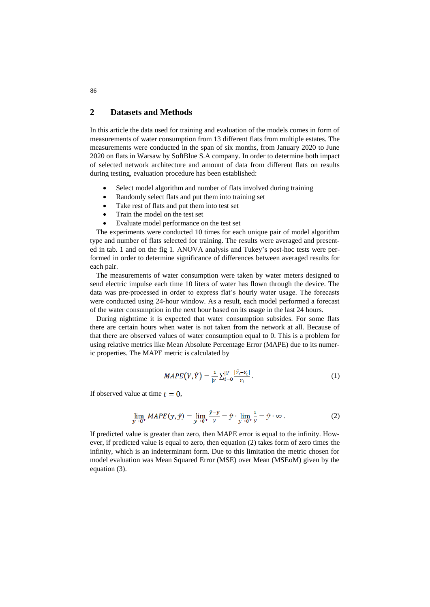## **2 Datasets and Methods**

In this article the data used for training and evaluation of the models comes in form of measurements of water consumption from 13 different flats from multiple estates. The measurements were conducted in the span of six months, from January 2020 to June 2020 on flats in Warsaw by SoftBlue S.A company. In order to determine both impact of selected network architecture and amount of data from different flats on results during testing, evaluation procedure has been established:

- Select model algorithm and number of flats involved during training
- Randomly select flats and put them into training set
- Take rest of flats and put them into test set
- Train the model on the test set
- Evaluate model performance on the test set

The experiments were conducted 10 times for each unique pair of model algorithm type and number of flats selected for training. The results were averaged and presented in tab. 1 and on the fig 1. ANOVA analysis and Tukey's post-hoc tests were performed in order to determine significance of differences between averaged results for each pair.

The measurements of water consumption were taken by water meters designed to send electric impulse each time 10 liters of water has flown through the device. The data was pre-processed in order to express flat's hourly water usage. The forecasts were conducted using 24-hour window. As a result, each model performed a forecast of the water consumption in the next hour based on its usage in the last 24 hours.

During nighttime it is expected that water consumption subsides. For some flats there are certain hours when water is not taken from the network at all. Because of that there are observed values of water consumption equal to 0. This is a problem for using relative metrics like Mean Absolute Percentage Error (MAPE) due to its numeric properties. The MAPE metric is calculated by

$$
MAPE(Y, \hat{Y}) = \frac{1}{|Y|} \sum_{i=0}^{|Y|} \frac{|\hat{Y}_i - Y_i|}{Y_i} \,. \tag{1}
$$

If observed value at time  $t = 0$ ,

$$
\lim_{y \to 0^+} MAPE(y, \hat{y}) = \lim_{y \to 0^+} \frac{\hat{y} - y}{y} = \hat{y} \cdot \lim_{y \to 0^+} \frac{1}{y} = \hat{y} \cdot \infty
$$
 (2)

If predicted value is greater than zero, then MAPE error is equal to the infinity. However, if predicted value is equal to zero, then equation (2) takes form of zero times the infinity, which is an indeterminant form. Due to this limitation the metric chosen for model evaluation was Mean Squared Error (MSE) over Mean (MSEoM) given by the equation (3).

86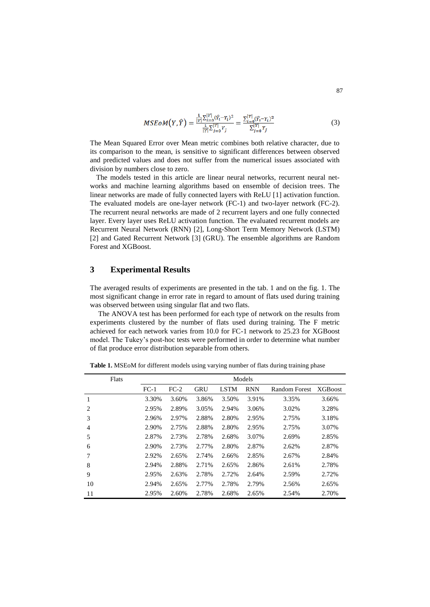$$
MSEoM(Y, \hat{Y}) = \frac{\frac{1}{|Y|} \sum_{i=0}^{|Y|} (\hat{Y}_i - Y_i)^2}{\frac{1}{|Y|} \sum_{j=0}^{|Y|} Y_j} = \frac{\sum_{i=0}^{|Y|} (\hat{Y}_i - Y_i)^2}{\sum_{j=0}^{|Y|} Y_j}
$$
(3)

The Mean Squared Error over Mean metric combines both relative character, due to its comparison to the mean, is sensitive to significant differences between observed and predicted values and does not suffer from the numerical issues associated with division by numbers close to zero.

The models tested in this article are linear neural networks, recurrent neural networks and machine learning algorithms based on ensemble of decision trees. The linear networks are made of fully connected layers with ReLU [1] activation function. The evaluated models are one-layer network (FC-1) and two-layer network (FC-2). The recurrent neural networks are made of 2 recurrent layers and one fully connected layer. Every layer uses ReLU activation function. The evaluated recurrent models are Recurrent Neural Network (RNN) [2], Long-Short Term Memory Network (LSTM) [2] and Gated Recurrent Network [3] (GRU). The ensemble algorithms are Random Forest and XGBoost.

#### **3 Experimental Results**

The averaged results of experiments are presented in the tab. 1 and on the fig. 1. The most significant change in error rate in regard to amount of flats used during training was observed between using singular flat and two flats.

The ANOVA test has been performed for each type of network on the results from experiments clustered by the number of flats used during training. The F metric achieved for each network varies from 10.0 for FC-1 network to 25.23 for XGBoost model. The Tukey's post-hoc tests were performed in order to determine what number of flat produce error distribution separable from others.

| Flats          | Models |        |            |             |            |               |                 |
|----------------|--------|--------|------------|-------------|------------|---------------|-----------------|
|                | $FC-1$ | $FC-2$ | <b>GRU</b> | <b>LSTM</b> | <b>RNN</b> | Random Forest | <b>XGB</b> oost |
| 1              | 3.30%  | 3.60%  | 3.86%      | 3.50%       | 3.91%      | 3.35%         | 3.66%           |
| 2              | 2.95%  | 2.89%  | 3.05%      | 2.94%       | 3.06%      | 3.02%         | 3.28%           |
| 3              | 2.96%  | 2.97%  | 2.88%      | 2.80%       | 2.95%      | 2.75%         | 3.18%           |
| $\overline{4}$ | 2.90%  | 2.75%  | 2.88%      | 2.80%       | 2.95%      | 2.75%         | 3.07%           |
| 5              | 2.87%  | 2.73%  | 2.78%      | 2.68%       | 3.07%      | 2.69%         | 2.85%           |
| 6              | 2.90%  | 2.73%  | 2.77%      | 2.80%       | 2.87%      | 2.62%         | 2.87%           |
| 7              | 2.92%  | 2.65%  | 2.74%      | 2.66%       | 2.85%      | 2.67%         | 2.84%           |
| 8              | 2.94%  | 2.88%  | 2.71%      | 2.65%       | 2.86%      | 2.61%         | 2.78%           |
| 9              | 2.95%  | 2.63%  | 2.78%      | 2.72%       | 2.64%      | 2.59%         | 2.72%           |
| 10             | 2.94%  | 2.65%  | 2.77%      | 2.78%       | 2.79%      | 2.56%         | 2.65%           |
| 11             | 2.95%  | 2.60%  | 2.78%      | 2.68%       | 2.65%      | 2.54%         | 2.70%           |

**Table 1.** MSEoM for different models using varying number of flats during training phase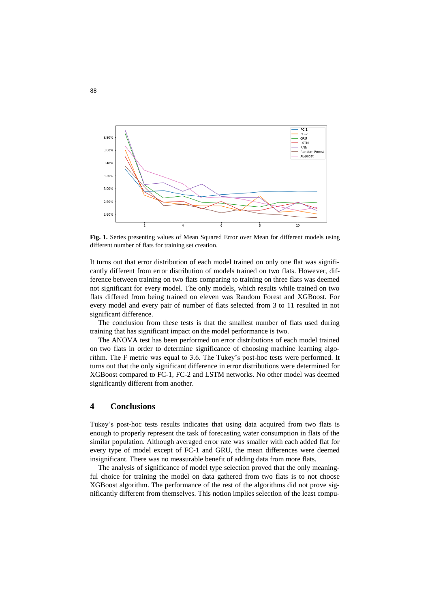

**Fig. 1.** Series presenting values of Mean Squared Error over Mean for different models using different number of flats for training set creation.

It turns out that error distribution of each model trained on only one flat was significantly different from error distribution of models trained on two flats. However, difference between training on two flats comparing to training on three flats was deemed not significant for every model. The only models, which results while trained on two flats differed from being trained on eleven was Random Forest and XGBoost. For every model and every pair of number of flats selected from 3 to 11 resulted in not significant difference.

The conclusion from these tests is that the smallest number of flats used during training that has significant impact on the model performance is two.

The ANOVA test has been performed on error distributions of each model trained on two flats in order to determine significance of choosing machine learning algorithm. The F metric was equal to 3.6. The Tukey's post-hoc tests were performed. It turns out that the only significant difference in error distributions were determined for XGBoost compared to FC-1, FC-2 and LSTM networks. No other model was deemed significantly different from another.

#### **4 Conclusions**

Tukey's post-hoc tests results indicates that using data acquired from two flats is enough to properly represent the task of forecasting water consumption in flats of the similar population. Although averaged error rate was smaller with each added flat for every type of model except of FC-1 and GRU, the mean differences were deemed insignificant. There was no measurable benefit of adding data from more flats.

The analysis of significance of model type selection proved that the only meaningful choice for training the model on data gathered from two flats is to not choose XGBoost algorithm. The performance of the rest of the algorithms did not prove significantly different from themselves. This notion implies selection of the least compu-